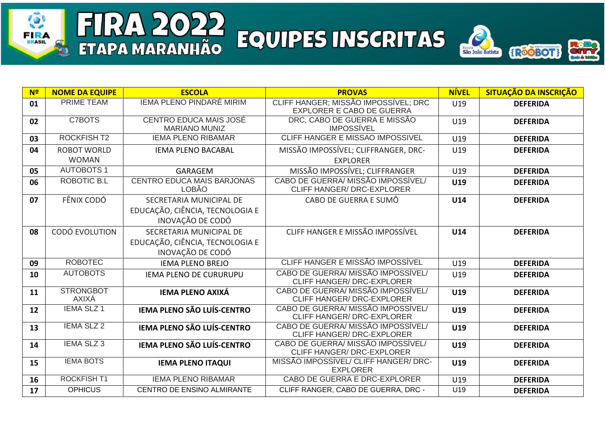## FIRA 2022 FQUIPES INSCRITAS

**FIRA** 

乳



| N <sup>2</sup> | <b>NOME DA EQUIPE</b>            | <b>ESCOLA</b>                                         | <b>PROVAS</b>                                                            | <b>NÍVEL</b> | <b>SITUAÇÃO DA INSCRIÇÃO</b> |
|----------------|----------------------------------|-------------------------------------------------------|--------------------------------------------------------------------------|--------------|------------------------------|
| 01             | <b>PRIME TEAM</b>                | <b>IEMA PLENO PINDARÉ MIRIM</b>                       | CLIFF HANGER; MISSÃO IMPOSSÍVEL; DRC<br><b>EXPLORER E CABO DE GUERRA</b> | U19          | <b>DEFERIDA</b>              |
| 02             | C7BOTS                           | <b>CENTRO EDUCA MAIS JOSÉ</b><br><b>MARIANO MUNIZ</b> | DRC, CABO DE GUERRA E MISSÃO<br><b>IMPOSSÍVEL</b>                        | U19          | <b>DEFERIDA</b>              |
| 03             | <b>ROCKFISH T2</b>               | <b>IEMA PLENO RIBAMAR</b>                             | CLIFF HANGER E MISSAO IMPOSSIVEL                                         | U19          | <b>DEFERIDA</b>              |
| 04             | <b>ROBOT WORLD</b>               | <b>IEMA PLENO BACABAL</b>                             | MISSÃO IMPOSSÍVEL; CLIFFRANGER, DRC-                                     | U19          | <b>DEFERIDA</b>              |
|                | <b>WOMAN</b>                     |                                                       | <b>EXPLORER</b>                                                          |              |                              |
| 05             | <b>AUTOBOTS1</b>                 | <b>GARAGEM</b>                                        | MISSÃO IMPOSSÍVEL; CLIFFRANGER                                           | U19          | <b>DEFERIDA</b>              |
| 06             | ROBOTIC B.L                      | <b>CENTRO EDUCA MAIS BARJONAS</b><br><b>LOBÃO</b>     | CABO DE GUERRA/ MISSÃO IMPOSSÍVEL/<br>CLIFF HANGER/ DRC-EXPLORER         | U19          | <b>DEFERIDA</b>              |
| 07             | FÊNIX CODÓ                       | SECRETARIA MUNICIPAL DE                               | CABO DE GUERRA E SUMÔ                                                    | U14          | <b>DEFERIDA</b>              |
|                |                                  | EDUCAÇÃO, CIÊNCIA, TECNOLOGIA E<br>INOVAÇÃO DE CODÓ   |                                                                          |              |                              |
| 08             | CODÓ EVOLUTION                   | SECRETARIA MUNICIPAL DE                               | CLIFF HANGER E MISSÃO IMPOSSÍVEL                                         | U14          | <b>DEFERIDA</b>              |
|                |                                  | EDUCAÇÃO, CIÊNCIA, TECNOLOGIA E<br>INOVAÇÃO DE CODÓ   |                                                                          |              |                              |
| 09             | <b>ROBOTEC</b>                   | <b>IEMA PLENO BREJO</b>                               | <b>CLIFF HANGER E MISSÃO IMPOSSÍVEL</b>                                  | U19          | <b>DEFERIDA</b>              |
| 10             | <b>AUTOBOTS</b>                  | <b>IEMA PLENO DE CURURUPU</b>                         | CABO DE GUERRA/ MISSÃO IMPOSSÍVEL/<br><b>CLIFF HANGER/ DRC-EXPLORER</b>  | U19          | <b>DEFERIDA</b>              |
| 11             | <b>STRONGBOT</b><br><b>AXIXÁ</b> | <b>IEMA PLENO AXIXÁ</b>                               | CABO DE GUERRA/ MISSÃO IMPOSSÍVEL/<br><b>CLIFF HANGER/ DRC-EXPLORER</b>  | U19          | <b>DEFERIDA</b>              |
| 12             | <b>IEMA SLZ 1</b>                | <b>IEMA PLENO SÃO LUÍS-CENTRO</b>                     | CABO DE GUERRA/ MISSÃO IMPOSSÍVEL/<br><b>CLIFF HANGER/ DRC-EXPLORER</b>  | U19          | <b>DEFERIDA</b>              |
| 13             | <b>IEMA SLZ 2</b>                | <b>IEMA PLENO SÃO LUÍS-CENTRO</b>                     | CABO DE GUERRA/ MISSÃO IMPOSSÍVEL/<br><b>CLIFF HANGER/ DRC-EXPLORER</b>  | U19          | <b>DEFERIDA</b>              |
| 14             | <b>IEMA SLZ 3</b>                | <b>IEMA PLENO SÃO LUÍS-CENTRO</b>                     | CABO DE GUERRA/ MISSÃO IMPOSSÍVEL/<br><b>CLIFF HANGER/ DRC-EXPLORER</b>  | U19          | <b>DEFERIDA</b>              |
| 15             | <b>IEMA BOTS</b>                 | <b>IEMA PLENO ITAQUI</b>                              | MISSÃO IMPOSSÍVEL/ CLIFF HANGER/ DRC-<br><b>EXPLORER</b>                 | U19          | <b>DEFERIDA</b>              |
| 16             | <b>ROCKFISH T1</b>               | <b>IEMA PLENO RIBAMAR</b>                             | CABO DE GUERRA E DRC-EXPLORER                                            | U19          | <b>DEFERIDA</b>              |
| 17             | <b>OPHICUS</b>                   | CENTRO DE ENSINO ALMIRANTE                            | CLIFF RANGER, CABO DE GUERRA, DRC -                                      | U19          | <b>DEFERIDA</b>              |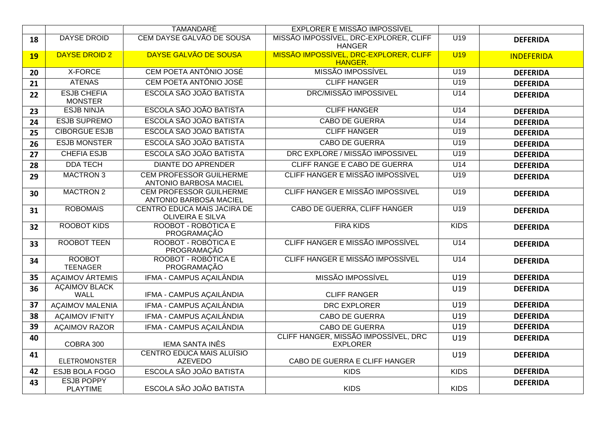|           |                                      | <b>TAMANDARÉ</b>                                                | <b>EXPLORER E MISSÃO IMPOSSÍVEL</b>                     |                  |                   |
|-----------|--------------------------------------|-----------------------------------------------------------------|---------------------------------------------------------|------------------|-------------------|
| 18        | <b>DAYSE DROID</b>                   | CEM DAYSE GALVÃO DE SOUSA                                       | MISSÃO IMPOSSÍVEL, DRC-EXPLORER, CLIFF<br><b>HANGER</b> | $\overline{U19}$ | <b>DEFERIDA</b>   |
| <b>19</b> | <b>DAYSE DROID 2</b>                 | DAYSE GALVÃO DE SOUSA                                           | MISSÃO IMPOSSÍVEL, DRC-EXPLORER, CLIFF<br>HANGER.       | U19              | <b>INDEFERIDA</b> |
| 20        | X-FORCE                              | CEM POETA ANTÔNIO JOSÉ                                          | MISSÃO IMPOSSÍVEL                                       | U19              | <b>DEFERIDA</b>   |
| 21        | <b>ATENAS</b>                        | CEM POETA ANTÔNIO JOSÉ                                          | <b>CLIFF HANGER</b>                                     | U <sub>19</sub>  | <b>DEFERIDA</b>   |
| 22        | <b>ESJB CHEFIA</b><br><b>MONSTER</b> | ESCOLA SÃO JOÃO BATISTA                                         | <b>DRC/MISSÃO IMPOSSIVEL</b>                            | U14              | <b>DEFERIDA</b>   |
| 23        | <b>ESJB NINJA</b>                    | ESCOLA SÃO JOÃO BATISTA                                         | <b>CLIFF HANGER</b>                                     | $\overline{U14}$ | <b>DEFERIDA</b>   |
| 24        | <b>ESJB SUPREMO</b>                  | ESCOLA SÃO JOÃO BATISTA                                         | <b>CABO DE GUERRA</b>                                   | U14              | <b>DEFERIDA</b>   |
| 25        | <b>CIBORGUE ESJB</b>                 | ESCOLA SÃO JOÃO BATISTA                                         | <b>CLIFF HANGER</b>                                     | U19              | <b>DEFERIDA</b>   |
| 26        | <b>ESJB MONSTER</b>                  | ESCOLA SÃO JOÃO BATISTA                                         | <b>CABO DE GUERRA</b>                                   | U19              | <b>DEFERIDA</b>   |
| 27        | <b>CHEFIA ESJB</b>                   | ESCOLA SÃO JOÃO BATISTA                                         | DRC EXPLORE / MISSÃO IMPOSSIVEL                         | U <sub>19</sub>  | <b>DEFERIDA</b>   |
| 28        | <b>DDA TECH</b>                      | <b>DIANTE DO APRENDER</b>                                       | CLIFF RANGE E CABO DE GUERRA                            | $\overline{U14}$ | <b>DEFERIDA</b>   |
| 29        | <b>MACTRON 3</b>                     | <b>CEM PROFESSOR GUILHERME</b><br><b>ANTONIO BARBOSA MACIEL</b> | CLIFF HANGER E MISSÃO IMPOSSÍVEL                        | U19              | <b>DEFERIDA</b>   |
| 30        | <b>MACTRON 2</b>                     | <b>CEM PROFESSOR GUILHERME</b><br><b>ANTONIO BARBOSA MACIEL</b> | <b>CLIFF HANGER E MISSÃO IMPOSSIVEL</b>                 | U19              | <b>DEFERIDA</b>   |
| 31        | <b>ROBOMAIS</b>                      | CENTRO EDUCA MAIS JACIRA DE<br><b>OLIVEIRA E SILVA</b>          | CABO DE GUERRA, CLIFF HANGER                            | $\overline{U19}$ | <b>DEFERIDA</b>   |
| 32        | <b>ROOBOT KIDS</b>                   | ROOBOT - ROBÓTICA E<br>PROGRAMAÇÃO                              | <b>FIRA KIDS</b>                                        | <b>KIDS</b>      | <b>DEFERIDA</b>   |
| 33        | <b>ROOBOT TEEN</b>                   | ROOBOT - ROBÓTICA E<br>PROGRAMAÇÃO                              | CLIFF HANGER E MISSÃO IMPOSSÍVEL                        | U14              | <b>DEFERIDA</b>   |
| 34        | <b>ROOBOT</b><br><b>TEENAGER</b>     | ROOBOT - ROBÓTICA E<br>PROGRAMAÇÃO                              | CLIFF HANGER E MISSÃO IMPOSSÍVEL                        | U14              | <b>DEFERIDA</b>   |
| 35        | <b>ACAIMOV ÁRTEMIS</b>               | IFMA - CAMPUS AÇAILÂNDIA                                        | MISSÃO IMPOSSÍVEL                                       | U19              | <b>DEFERIDA</b>   |
| 36        | <b>AÇAIMOV BLACK</b><br><b>WALL</b>  | IFMA - CAMPUS AÇAILÂNDIA                                        | <b>CLIFF RANGER</b>                                     | U19              | <b>DEFERIDA</b>   |
| 37        | <b>AÇAIMOV MALENIA</b>               | IFMA - CAMPUS AÇAILÂNDIA                                        | <b>DRC EXPLORER</b>                                     | U19              | <b>DEFERIDA</b>   |
| 38        | <b>ACAIMOV IF'NITY</b>               | IFMA - CAMPUS AÇAILÂNDIA                                        | <b>CABO DE GUERRA</b>                                   | U19              | <b>DEFERIDA</b>   |
| 39        | <b>ACAIMOV RAZOR</b>                 | IFMA - CAMPUS AÇAILÂNDIA                                        | <b>CABO DE GUERRA</b>                                   | U19              | <b>DEFERIDA</b>   |
| 40        | COBRA 300                            | <b>IEMA SANTA INÊS</b>                                          | CLIFF HANGER, MISSÃO IMPOSSÍVEL, DRC<br><b>EXPLORER</b> | U19              | <b>DEFERIDA</b>   |
| 41        | <b>ELETROMONSTER</b>                 | <b>CENTRO EDUCA MAIS ALUÍSIO</b><br><b>AZEVEDO</b>              | CABO DE GUERRA E CLIFF HANGER                           | U19              | <b>DEFERIDA</b>   |
| 42        | ESJB BOLA FOGO                       | ESCOLA SÃO JOÃO BATISTA                                         | <b>KIDS</b>                                             | <b>KIDS</b>      | <b>DEFERIDA</b>   |
| 43        | <b>ESJB POPPY</b><br><b>PLAYTIME</b> | ESCOLA SÃO JOÃO BATISTA                                         | <b>KIDS</b>                                             | <b>KIDS</b>      | <b>DEFERIDA</b>   |